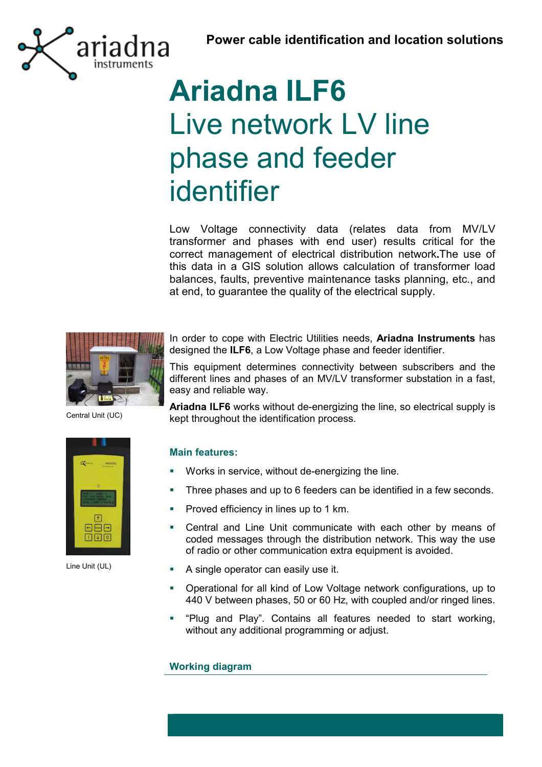

# **Ariadna ILF6** Live network LV line phase and feeder identifier

Low Voltage connectivity data (relates data from MV/LV transformer and phases with end user) results critical for the correct management of electrical distribution network**.**The use of this data in a GIS solution allows calculation of transformer load balances, faults, preventive maintenance tasks planning, etc., and at end, to guarantee the quality of the electrical supply.



In order to cope with Electric Utilities needs, **Ariadna Instruments** has designed the **ILF6**, a Low Voltage phase and feeder identifier.

This equipment determines connectivity between subscribers and the different lines and phases of an MV/LV transformer substation in a fast, easy and reliable way.

Central Unit (UC)



Line Unit (UL)

**Ariadna ILF6** works without de-energizing the line, so electrical supply is kept throughout the identification process.

### **Main features:**

- **Works in service, without de-energizing the line.**
- **Three phases and up to 6 feeders can be identified in a few seconds.**
- **Proved efficiency in lines up to 1 km.**
- Central and Line Unit communicate with each other by means of coded messages through the distribution network. This way the use of radio or other communication extra equipment is avoided.
- A single operator can easily use it.
- Operational for all kind of Low Voltage network configurations, up to 440 V between phases, 50 or 60 Hz, with coupled and/or ringed lines.
- **•** "Plug and Play". Contains all features needed to start working, without any additional programming or adjust.

**Working diagram**